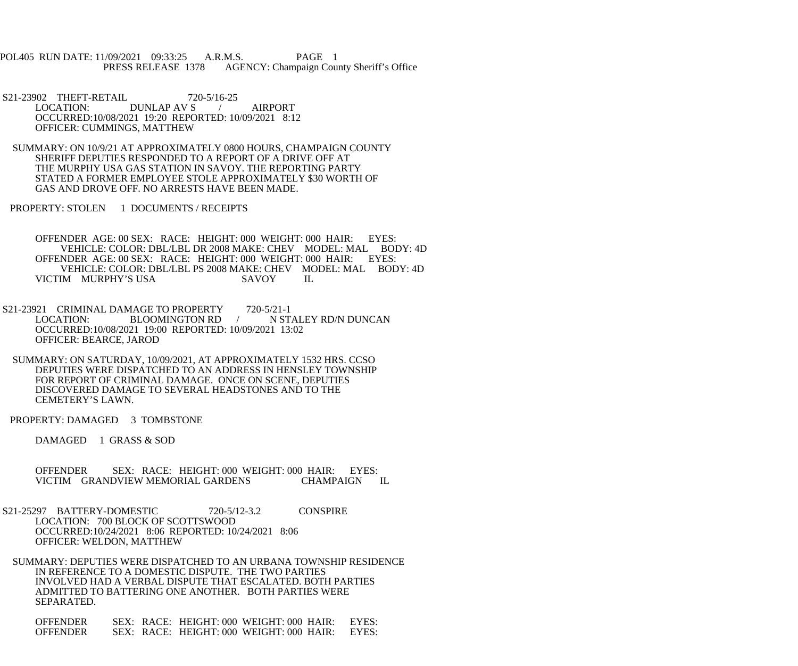POL405 RUN DATE: 11/09/2021 09:33:25 A.R.M.S. PAGE 1 PRESS RELEASE 1378 AGENCY: Champaign County Sheriff's Office

S21-23902 THEFT-RETAIL 720-5/16-25<br>LOCATION: DUNLAP AV S DUNLAP AV S / AIRPORT OCCURRED:10/08/2021 19:20 REPORTED: 10/09/2021 8:12 OFFICER: CUMMINGS, MATTHEW

 SUMMARY: ON 10/9/21 AT APPROXIMATELY 0800 HOURS, CHAMPAIGN COUNTY SHERIFF DEPUTIES RESPONDED TO A REPORT OF A DRIVE OFF AT THE MURPHY USA GAS STATION IN SAVOY. THE REPORTING PARTY STATED A FORMER EMPLOYEE STOLE APPROXIMATELY \$30 WORTH OF GAS AND DROVE OFF. NO ARRESTS HAVE BEEN MADE.

PROPERTY: STOLEN 1 DOCUMENTS / RECEIPTS

 OFFENDER AGE: 00 SEX: RACE: HEIGHT: 000 WEIGHT: 000 HAIR: EYES: VEHICLE: COLOR: DBL/LBL DR 2008 MAKE: CHEV MODEL: MAL BODY: 4D<br>NDER AGE: 00 SEX: RACE: HEIGHT: 000 WEIGHT: 000 HAIR: EYES: OFFENDER AGE: 00 SEX: RACE: HEIGHT: 000 WEIGHT: 000 HAIR: VEHICLE: COLOR: DBL/LBL PS 2008 MAKE: CHEV MODEL: MAL BODY: 4D<br>IM MURPHY'S USA SAVOY IL VICTIM MURPHY'S USA SAVOY IL

S21-23921 CRIMINAL DAMAGE TO PROPERTY 720-5/21-1<br>LOCATION: BLOOMINGTON RD N STALEY RD/N DUNCAN OCCURRED:10/08/2021 19:00 REPORTED: 10/09/2021 13:02 OFFICER: BEARCE, JAROD

 SUMMARY: ON SATURDAY, 10/09/2021, AT APPROXIMATELY 1532 HRS. CCSO DEPUTIES WERE DISPATCHED TO AN ADDRESS IN HENSLEY TOWNSHIP FOR REPORT OF CRIMINAL DAMAGE. ONCE ON SCENE, DEPUTIES DISCOVERED DAMAGE TO SEVERAL HEADSTONES AND TO THE CEMETERY'S LAWN.

PROPERTY: DAMAGED 3 TOMBSTONE

DAMAGED 1 GRASS & SOD

OFFENDER SEX: RACE: HEIGHT: 000 WEIGHT: 000 HAIR: EYES: VICTIM GRANDVIEW MEMORIAL GARDENS CHAMPAIGN VICTIM GRANDVIEW MEMORIAL GARDENS CHAMPAIGN IL

 S21-25297 BATTERY-DOMESTIC 720-5/12-3.2 CONSPIRE LOCATION: 700 BLOCK OF SCOTTSWOOD OCCURRED:10/24/2021 8:06 REPORTED: 10/24/2021 8:06 OFFICER: WELDON, MATTHEW

 SUMMARY: DEPUTIES WERE DISPATCHED TO AN URBANA TOWNSHIP RESIDENCE IN REFERENCE TO A DOMESTIC DISPUTE. THE TWO PARTIES INVOLVED HAD A VERBAL DISPUTE THAT ESCALATED. BOTH PARTIES ADMITTED TO BATTERING ONE ANOTHER. BOTH PARTIES WERE SEPARATED.

 OFFENDER SEX: RACE: HEIGHT: 000 WEIGHT: 000 HAIR: EYES: OFFENDER SEX: RACE: HEIGHT: 000 WEIGHT: 000 HAIR: EYES: